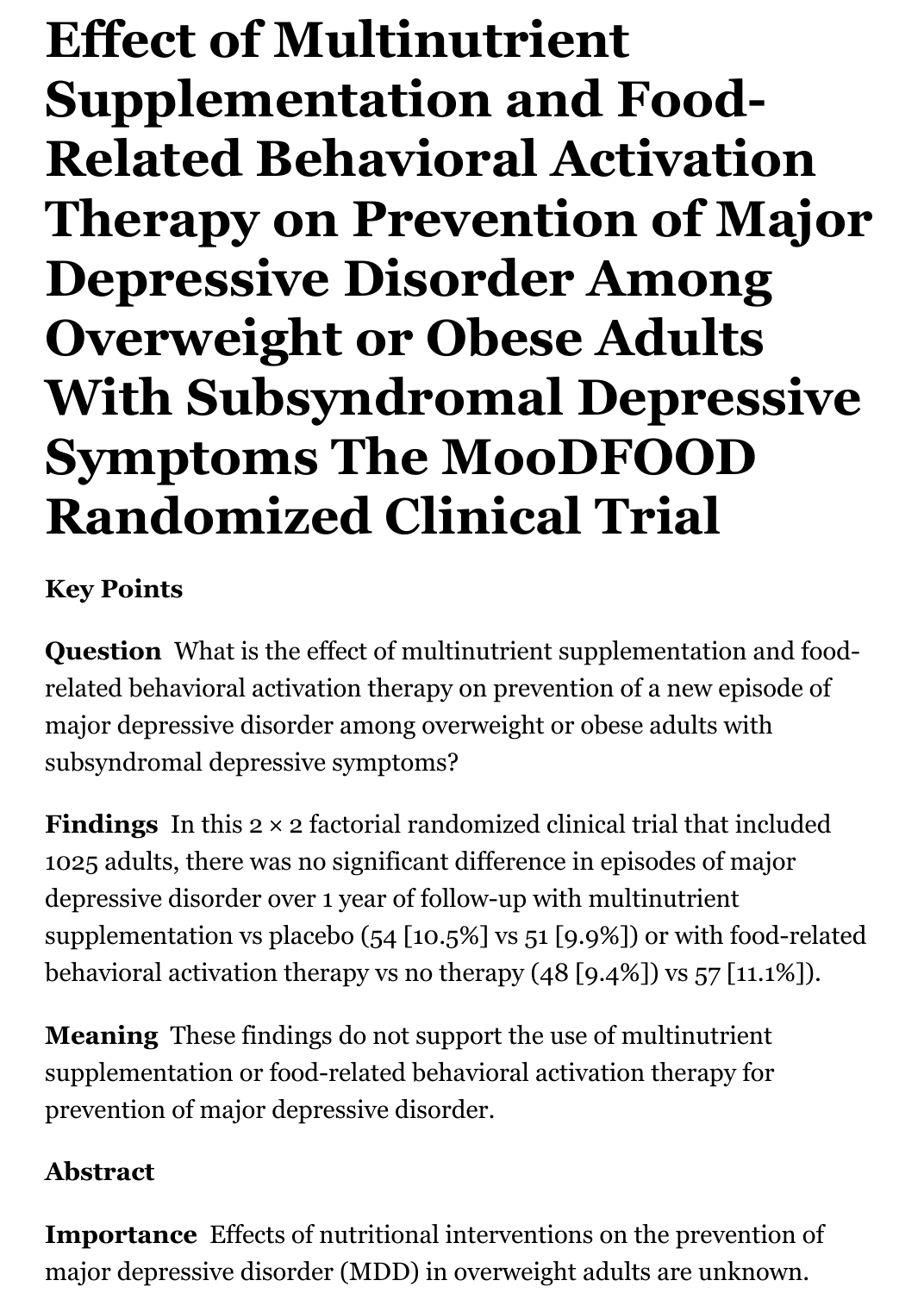**Effect of Multinutrient Supplementation and Food-Related Behavioral Activation Therapy on Prevention of Major Depressive Disorder Among Overweight or Obese Adults With Subsyndromal Depressive Symptoms The MooDFOOD Randomized Clinical Trial**

## **Key Points**

**Question** What is the effect of multinutrient supplementation and foodrelated behavioral activation therapy on prevention of a new episode of major depressive disorder among overweight or obese adults with subsyndromal depressive symptoms?

**Findings** In this 2 × 2 factorial randomized clinical trial that included 1025 adults, there was no significant difference in episodes of major depressive disorder over 1 year of follow-up with multinutrient supplementation vs placebo (54 [10.5%] vs 51 [9.9%]) or with food-related behavioral activation therapy vs no therapy (48 [9.4%]) vs 57 [11.1%]).

**Meaning** These findings do not support the use of multinutrient supplementation or food-related behavioral activation therapy for prevention of major depressive disorder.

## **Abstract**

**Importance** Effects of nutritional interventions on the prevention of major depressive disorder (MDD) in overweight adults are unknown.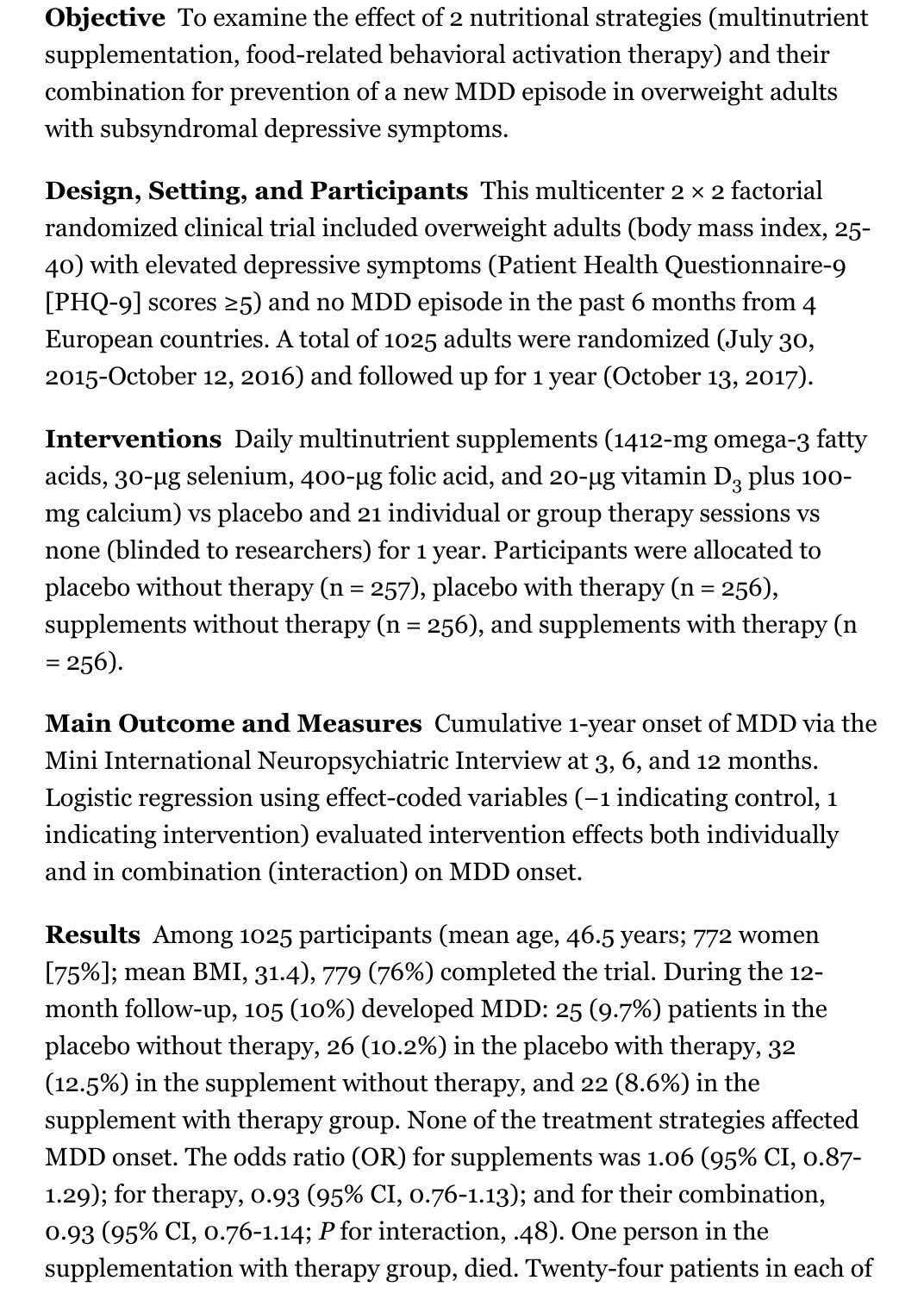**Objective** To examine the effect of 2 nutritional strategies (multinutrient supplementation, food-related behavioral activation therapy) and their combination for prevention of a new MDD episode in overweight adults with subsyndromal depressive symptoms.

**Design, Setting, and Participants** This multicenter 2 × 2 factorial randomized clinical trial included overweight adults (body mass index, 25- 40) with elevated depressive symptoms (Patient Health Questionnaire-9 [PHQ-9] scores  $\geq$ 5) and no MDD episode in the past 6 months from 4 European countries. A total of 1025 adults were randomized (July 30, 2015-October 12, 2016) and followed up for 1 year (October 13, 2017).

**Interventions** Daily multinutrient supplements (1412-mg omega-3 fatty acids, 30-µg selenium, 400-µg folic acid, and 20-µg vitamin  $D_3$  plus 100mg calcium) vs placebo and 21 individual or group therapy sessions vs none (blinded to researchers) for 1 year. Participants were allocated to placebo without therapy ( $n = 257$ ), placebo with therapy ( $n = 256$ ), supplements without therapy ( $n = 256$ ), and supplements with therapy ( $n$  $= 256$ ).

**Main Outcome and Measures** Cumulative 1-year onset of MDD via the Mini International Neuropsychiatric Interview at 3, 6, and 12 months. Logistic regression using effect-coded variables (−1 indicating control, 1 indicating intervention) evaluated intervention effects both individually and in combination (interaction) on MDD onset.

**Results** Among 1025 participants (mean age, 46.5 years; 772 women [75%]; mean BMI, 31.4), 779 (76%) completed the trial. During the 12 month follow-up, 105 (10%) developed MDD: 25 (9.7%) patients in the placebo without therapy, 26 (10.2%) in the placebo with therapy, 32 (12.5%) in the supplement without therapy, and 22 (8.6%) in the supplement with therapy group. None of the treatment strategies affected MDD onset. The odds ratio (OR) for supplements was 1.06 (95% CI, 0.87- 1.29); for therapy, 0.93 (95% CI, 0.76-1.13); and for their combination, 0.93 (95% CI, 0.76-1.14; *P* for interaction, .48). One person in the supplementation with therapy group, died. Twenty-four patients in each of